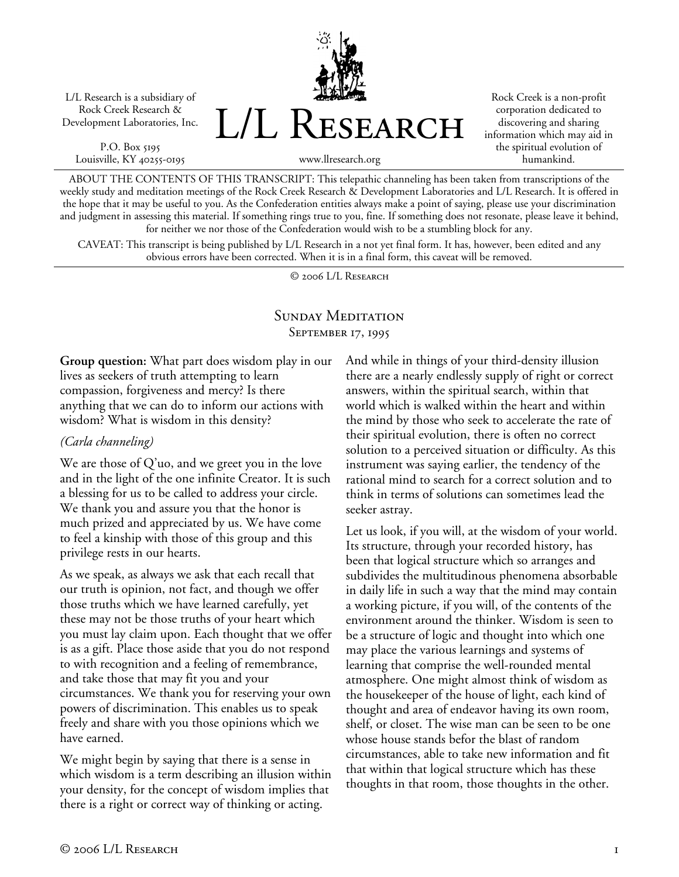L/L Research is a subsidiary of Rock Creek Research & Development Laboratories, Inc.

P.O. Box 5195 Louisville, KY 40255-0195 L/L Research

Rock Creek is a non-profit corporation dedicated to discovering and sharing information which may aid in the spiritual evolution of humankind.

www.llresearch.org

ABOUT THE CONTENTS OF THIS TRANSCRIPT: This telepathic channeling has been taken from transcriptions of the weekly study and meditation meetings of the Rock Creek Research & Development Laboratories and L/L Research. It is offered in the hope that it may be useful to you. As the Confederation entities always make a point of saying, please use your discrimination and judgment in assessing this material. If something rings true to you, fine. If something does not resonate, please leave it behind, for neither we nor those of the Confederation would wish to be a stumbling block for any.

CAVEAT: This transcript is being published by L/L Research in a not yet final form. It has, however, been edited and any obvious errors have been corrected. When it is in a final form, this caveat will be removed.

© 2006 L/L Research

#### SUNDAY MEDITATION SEPTEMBER 17, 1995

**Group question:** What part does wisdom play in our lives as seekers of truth attempting to learn compassion, forgiveness and mercy? Is there anything that we can do to inform our actions with wisdom? What is wisdom in this density?

#### *(Carla channeling)*

We are those of Q'uo, and we greet you in the love and in the light of the one infinite Creator. It is such a blessing for us to be called to address your circle. We thank you and assure you that the honor is much prized and appreciated by us. We have come to feel a kinship with those of this group and this privilege rests in our hearts.

As we speak, as always we ask that each recall that our truth is opinion, not fact, and though we offer those truths which we have learned carefully, yet these may not be those truths of your heart which you must lay claim upon. Each thought that we offer is as a gift. Place those aside that you do not respond to with recognition and a feeling of remembrance, and take those that may fit you and your circumstances. We thank you for reserving your own powers of discrimination. This enables us to speak freely and share with you those opinions which we have earned.

We might begin by saying that there is a sense in which wisdom is a term describing an illusion within your density, for the concept of wisdom implies that there is a right or correct way of thinking or acting.

And while in things of your third-density illusion there are a nearly endlessly supply of right or correct answers, within the spiritual search, within that world which is walked within the heart and within the mind by those who seek to accelerate the rate of their spiritual evolution, there is often no correct solution to a perceived situation or difficulty. As this instrument was saying earlier, the tendency of the rational mind to search for a correct solution and to think in terms of solutions can sometimes lead the seeker astray.

Let us look, if you will, at the wisdom of your world. Its structure, through your recorded history, has been that logical structure which so arranges and subdivides the multitudinous phenomena absorbable in daily life in such a way that the mind may contain a working picture, if you will, of the contents of the environment around the thinker. Wisdom is seen to be a structure of logic and thought into which one may place the various learnings and systems of learning that comprise the well-rounded mental atmosphere. One might almost think of wisdom as the housekeeper of the house of light, each kind of thought and area of endeavor having its own room, shelf, or closet. The wise man can be seen to be one whose house stands befor the blast of random circumstances, able to take new information and fit that within that logical structure which has these thoughts in that room, those thoughts in the other.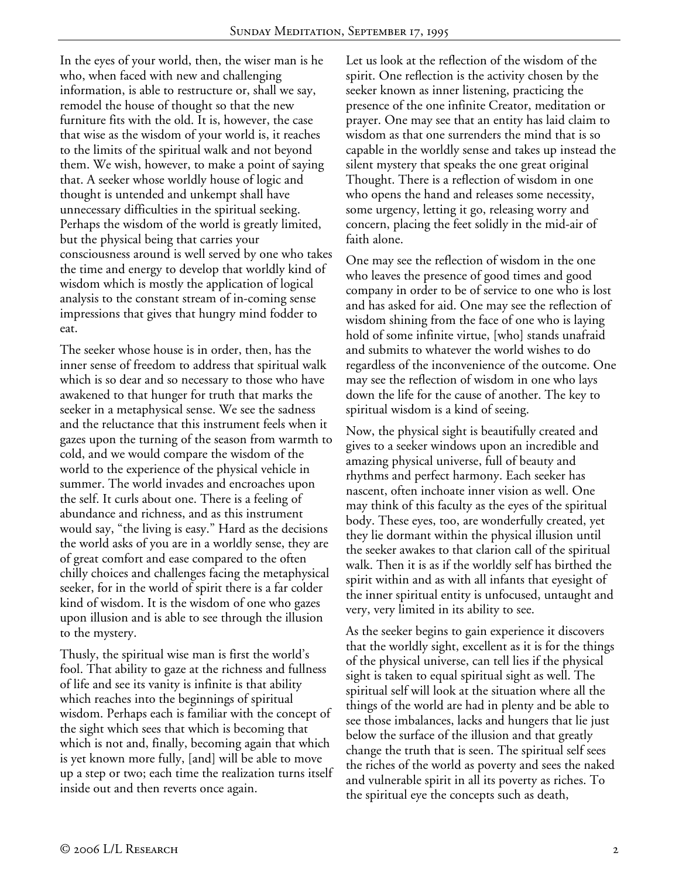In the eyes of your world, then, the wiser man is he who, when faced with new and challenging information, is able to restructure or, shall we say, remodel the house of thought so that the new furniture fits with the old. It is, however, the case that wise as the wisdom of your world is, it reaches to the limits of the spiritual walk and not beyond them. We wish, however, to make a point of saying that. A seeker whose worldly house of logic and thought is untended and unkempt shall have unnecessary difficulties in the spiritual seeking. Perhaps the wisdom of the world is greatly limited, but the physical being that carries your consciousness around is well served by one who takes the time and energy to develop that worldly kind of wisdom which is mostly the application of logical analysis to the constant stream of in-coming sense impressions that gives that hungry mind fodder to eat.

The seeker whose house is in order, then, has the inner sense of freedom to address that spiritual walk which is so dear and so necessary to those who have awakened to that hunger for truth that marks the seeker in a metaphysical sense. We see the sadness and the reluctance that this instrument feels when it gazes upon the turning of the season from warmth to cold, and we would compare the wisdom of the world to the experience of the physical vehicle in summer. The world invades and encroaches upon the self. It curls about one. There is a feeling of abundance and richness, and as this instrument would say, "the living is easy." Hard as the decisions the world asks of you are in a worldly sense, they are of great comfort and ease compared to the often chilly choices and challenges facing the metaphysical seeker, for in the world of spirit there is a far colder kind of wisdom. It is the wisdom of one who gazes upon illusion and is able to see through the illusion to the mystery.

Thusly, the spiritual wise man is first the world's fool. That ability to gaze at the richness and fullness of life and see its vanity is infinite is that ability which reaches into the beginnings of spiritual wisdom. Perhaps each is familiar with the concept of the sight which sees that which is becoming that which is not and, finally, becoming again that which is yet known more fully, [and] will be able to move up a step or two; each time the realization turns itself inside out and then reverts once again.

Let us look at the reflection of the wisdom of the spirit. One reflection is the activity chosen by the seeker known as inner listening, practicing the presence of the one infinite Creator, meditation or prayer. One may see that an entity has laid claim to wisdom as that one surrenders the mind that is so capable in the worldly sense and takes up instead the silent mystery that speaks the one great original Thought. There is a reflection of wisdom in one who opens the hand and releases some necessity, some urgency, letting it go, releasing worry and concern, placing the feet solidly in the mid-air of faith alone.

One may see the reflection of wisdom in the one who leaves the presence of good times and good company in order to be of service to one who is lost and has asked for aid. One may see the reflection of wisdom shining from the face of one who is laying hold of some infinite virtue, [who] stands unafraid and submits to whatever the world wishes to do regardless of the inconvenience of the outcome. One may see the reflection of wisdom in one who lays down the life for the cause of another. The key to spiritual wisdom is a kind of seeing.

Now, the physical sight is beautifully created and gives to a seeker windows upon an incredible and amazing physical universe, full of beauty and rhythms and perfect harmony. Each seeker has nascent, often inchoate inner vision as well. One may think of this faculty as the eyes of the spiritual body. These eyes, too, are wonderfully created, yet they lie dormant within the physical illusion until the seeker awakes to that clarion call of the spiritual walk. Then it is as if the worldly self has birthed the spirit within and as with all infants that eyesight of the inner spiritual entity is unfocused, untaught and very, very limited in its ability to see.

As the seeker begins to gain experience it discovers that the worldly sight, excellent as it is for the things of the physical universe, can tell lies if the physical sight is taken to equal spiritual sight as well. The spiritual self will look at the situation where all the things of the world are had in plenty and be able to see those imbalances, lacks and hungers that lie just below the surface of the illusion and that greatly change the truth that is seen. The spiritual self sees the riches of the world as poverty and sees the naked and vulnerable spirit in all its poverty as riches. To the spiritual eye the concepts such as death,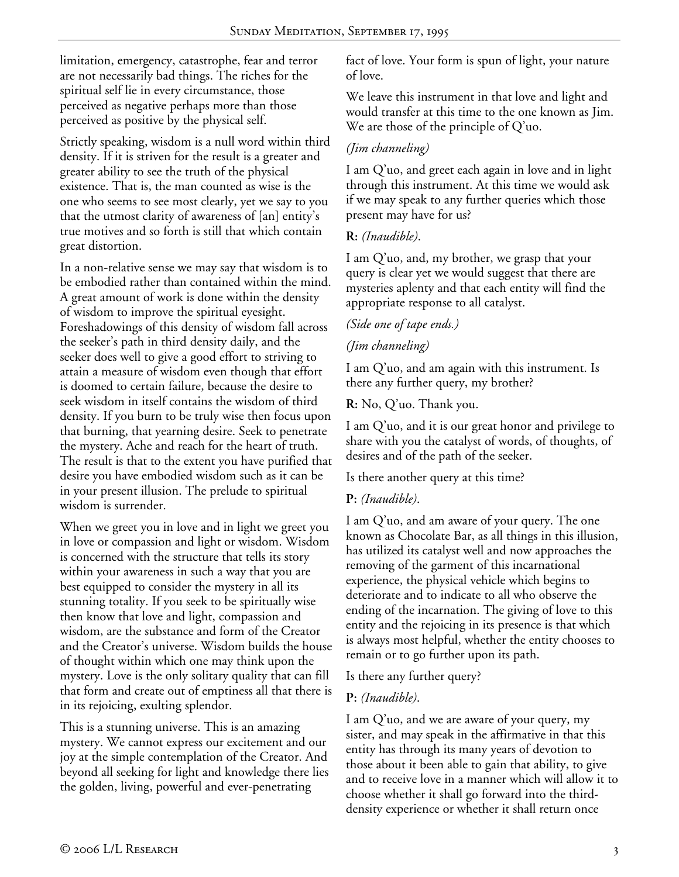limitation, emergency, catastrophe, fear and terror are not necessarily bad things. The riches for the spiritual self lie in every circumstance, those perceived as negative perhaps more than those perceived as positive by the physical self.

Strictly speaking, wisdom is a null word within third density. If it is striven for the result is a greater and greater ability to see the truth of the physical existence. That is, the man counted as wise is the one who seems to see most clearly, yet we say to you that the utmost clarity of awareness of [an] entity's true motives and so forth is still that which contain great distortion.

In a non-relative sense we may say that wisdom is to be embodied rather than contained within the mind. A great amount of work is done within the density of wisdom to improve the spiritual eyesight. Foreshadowings of this density of wisdom fall across the seeker's path in third density daily, and the seeker does well to give a good effort to striving to attain a measure of wisdom even though that effort is doomed to certain failure, because the desire to seek wisdom in itself contains the wisdom of third density. If you burn to be truly wise then focus upon that burning, that yearning desire. Seek to penetrate the mystery. Ache and reach for the heart of truth. The result is that to the extent you have purified that desire you have embodied wisdom such as it can be in your present illusion. The prelude to spiritual wisdom is surrender.

When we greet you in love and in light we greet you in love or compassion and light or wisdom. Wisdom is concerned with the structure that tells its story within your awareness in such a way that you are best equipped to consider the mystery in all its stunning totality. If you seek to be spiritually wise then know that love and light, compassion and wisdom, are the substance and form of the Creator and the Creator's universe. Wisdom builds the house of thought within which one may think upon the mystery. Love is the only solitary quality that can fill that form and create out of emptiness all that there is in its rejoicing, exulting splendor.

This is a stunning universe. This is an amazing mystery. We cannot express our excitement and our joy at the simple contemplation of the Creator. And beyond all seeking for light and knowledge there lies the golden, living, powerful and ever-penetrating

fact of love. Your form is spun of light, your nature of love.

We leave this instrument in that love and light and would transfer at this time to the one known as Jim. We are those of the principle of Q'uo.

# *(Jim channeling)*

I am Q'uo, and greet each again in love and in light through this instrument. At this time we would ask if we may speak to any further queries which those present may have for us?

# **R:** *(Inaudible)*.

I am Q'uo, and, my brother, we grasp that your query is clear yet we would suggest that there are mysteries aplenty and that each entity will find the appropriate response to all catalyst.

# *(Side one of tape ends.)*

# *(Jim channeling)*

I am Q'uo, and am again with this instrument. Is there any further query, my brother?

**R:** No, Q'uo. Thank you.

I am Q'uo, and it is our great honor and privilege to share with you the catalyst of words, of thoughts, of desires and of the path of the seeker.

Is there another query at this time?

#### **P:** *(Inaudible)*.

I am Q'uo, and am aware of your query. The one known as Chocolate Bar, as all things in this illusion, has utilized its catalyst well and now approaches the removing of the garment of this incarnational experience, the physical vehicle which begins to deteriorate and to indicate to all who observe the ending of the incarnation. The giving of love to this entity and the rejoicing in its presence is that which is always most helpful, whether the entity chooses to remain or to go further upon its path.

Is there any further query?

#### **P:** *(Inaudible)*.

I am Q'uo, and we are aware of your query, my sister, and may speak in the affirmative in that this entity has through its many years of devotion to those about it been able to gain that ability, to give and to receive love in a manner which will allow it to choose whether it shall go forward into the thirddensity experience or whether it shall return once